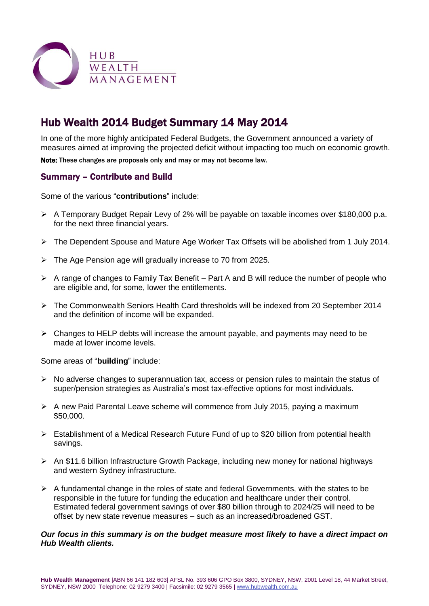

# Hub Wealth 2014 Budget Summary 14 May 2014

In one of the more highly anticipated Federal Budgets, the Government announced a variety of measures aimed at improving the projected deficit without impacting too much on economic growth.

Note: These changes are proposals only and may or may not become law.

## Summary – Contribute and Build

Some of the various "**contributions**" include:

- A Temporary Budget Repair Levy of 2% will be payable on taxable incomes over \$180,000 p.a. for the next three financial years.
- The Dependent Spouse and Mature Age Worker Tax Offsets will be abolished from 1 July 2014.
- The Age Pension age will gradually increase to 70 from 2025.
- $\triangleright$  A range of changes to Family Tax Benefit Part A and B will reduce the number of people who are eligible and, for some, lower the entitlements.
- The Commonwealth Seniors Health Card thresholds will be indexed from 20 September 2014 and the definition of income will be expanded.
- $\triangleright$  Changes to HELP debts will increase the amount payable, and payments may need to be made at lower income levels.

Some areas of "**building**" include:

- $\triangleright$  No adverse changes to superannuation tax, access or pension rules to maintain the status of super/pension strategies as Australia's most tax-effective options for most individuals.
- $\triangleright$  A new Paid Parental Leave scheme will commence from July 2015, paying a maximum \$50,000.
- $\triangleright$  Establishment of a Medical Research Future Fund of up to \$20 billion from potential health savings.
- An \$11.6 billion Infrastructure Growth Package, including new money for national highways and western Sydney infrastructure.
- $\triangleright$  A fundamental change in the roles of state and federal Governments, with the states to be responsible in the future for funding the education and healthcare under their control. Estimated federal government savings of over \$80 billion through to 2024/25 will need to be offset by new state revenue measures – such as an increased/broadened GST.

#### *Our focus in this summary is on the budget measure most likely to have a direct impact on Hub Wealth clients.*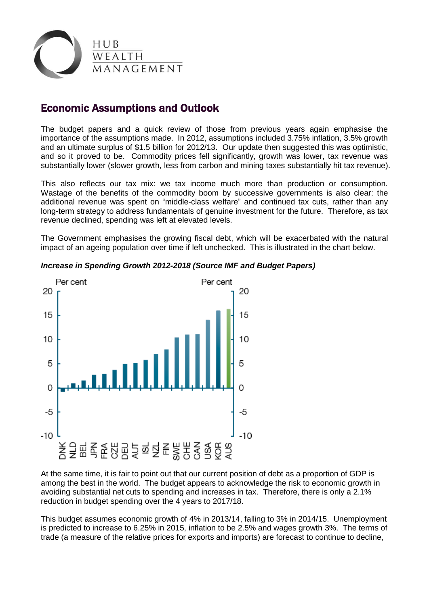

# Economic Assumptions and Outlook

The budget papers and a quick review of those from previous years again emphasise the importance of the assumptions made. In 2012, assumptions included 3.75% inflation, 3.5% growth and an ultimate surplus of \$1.5 billion for 2012/13. Our update then suggested this was optimistic, and so it proved to be. Commodity prices fell significantly, growth was lower, tax revenue was substantially lower (slower growth, less from carbon and mining taxes substantially hit tax revenue).

This also reflects our tax mix: we tax income much more than production or consumption. Wastage of the benefits of the commodity boom by successive governments is also clear: the additional revenue was spent on "middle-class welfare" and continued tax cuts, rather than any long-term strategy to address fundamentals of genuine investment for the future. Therefore, as tax revenue declined, spending was left at elevated levels.

The Government emphasises the growing fiscal debt, which will be exacerbated with the natural impact of an ageing population over time if left unchecked. This is illustrated in the chart below.



### *Increase in Spending Growth 2012-2018 (Source IMF and Budget Papers)*

At the same time, it is fair to point out that our current position of debt as a proportion of GDP is among the best in the world. The budget appears to acknowledge the risk to economic growth in avoiding substantial net cuts to spending and increases in tax. Therefore, there is only a 2.1% reduction in budget spending over the 4 years to 2017/18.

This budget assumes economic growth of 4% in 2013/14, falling to 3% in 2014/15. Unemployment is predicted to increase to 6.25% in 2015, inflation to be 2.5% and wages growth 3%. The terms of trade (a measure of the relative prices for exports and imports) are forecast to continue to decline,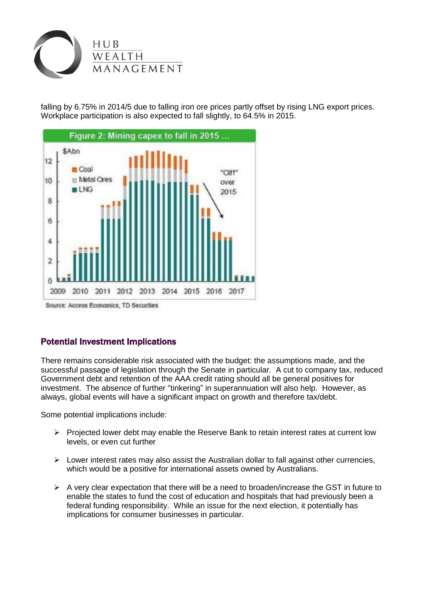

falling by 6.75% in 2014/5 due to falling iron ore prices partly offset by rising LNG export prices. Workplace participation is also expected to fall slightly, to 64.5% in 2015.



# Potential Investment Implications

There remains considerable risk associated with the budget: the assumptions made, and the successful passage of legislation through the Senate in particular. A cut to company tax, reduced Government debt and retention of the AAA credit rating should all be general positives for investment. The absence of further "tinkering" in superannuation will also help. However, as always, global events will have a significant impact on growth and therefore tax/debt.

Some potential implications include:

- $\triangleright$  Projected lower debt may enable the Reserve Bank to retain interest rates at current low levels, or even cut further
- $\triangleright$  Lower interest rates may also assist the Australian dollar to fall against other currencies, which would be a positive for international assets owned by Australians.
- $\triangleright$  A very clear expectation that there will be a need to broaden/increase the GST in future to enable the states to fund the cost of education and hospitals that had previously been a federal funding responsibility. While an issue for the next election, it potentially has implications for consumer businesses in particular.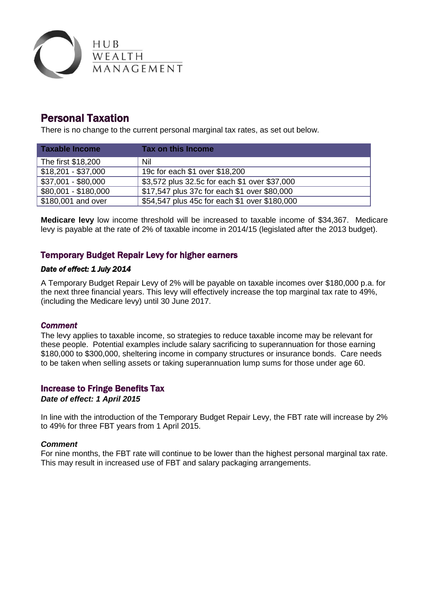

# Personal Taxation

There is no change to the current personal marginal tax rates, as set out below.

| Taxable Income       | Tax on this Income                            |
|----------------------|-----------------------------------------------|
| The first \$18,200   | Nil                                           |
| $$18,201 - $37,000$  | 19c for each \$1 over \$18,200                |
| \$37,001 - \$80,000  | \$3,572 plus 32.5c for each \$1 over \$37,000 |
| \$80,001 - \$180,000 | \$17,547 plus 37c for each \$1 over \$80,000  |
| \$180,001 and over   | \$54,547 plus 45c for each \$1 over \$180,000 |

**Medicare levy** low income threshold will be increased to taxable income of \$34,367. Medicare levy is payable at the rate of 2% of taxable income in 2014/15 (legislated after the 2013 budget).

## Temporary Budget Repair Levy for higher earners

### *Date of effect: 1 July 2014*

A Temporary Budget Repair Levy of 2% will be payable on taxable incomes over \$180,000 p.a. for the next three financial years. This levy will effectively increase the top marginal tax rate to 49%, (including the Medicare levy) until 30 June 2017.

### *Comment*

The levy applies to taxable income, so strategies to reduce taxable income may be relevant for these people. Potential examples include salary sacrificing to superannuation for those earning \$180,000 to \$300,000, sheltering income in company structures or insurance bonds. Care needs to be taken when selling assets or taking superannuation lump sums for those under age 60.

### Increase to Fringe Benefits Tax

#### *Date of effect: 1 April 2015*

In line with the introduction of the Temporary Budget Repair Levy, the FBT rate will increase by 2% to 49% for three FBT years from 1 April 2015.

#### *Comment*

For nine months, the FBT rate will continue to be lower than the highest personal marginal tax rate. This may result in increased use of FBT and salary packaging arrangements.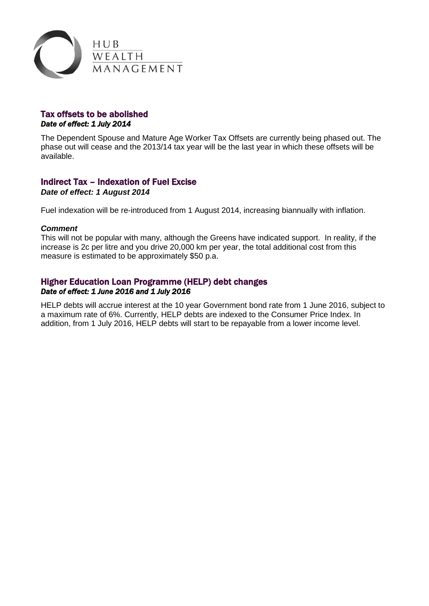

## Tax offsets to be abolished *Date of effect: 1 July 2014*

The Dependent Spouse and Mature Age Worker Tax Offsets are currently being phased out. The phase out will cease and the 2013/14 tax year will be the last year in which these offsets will be available.

## Indirect Tax – Indexation of Fuel Excise

*Date of effect: 1 August 2014*

Fuel indexation will be re-introduced from 1 August 2014, increasing biannually with inflation.

#### *Comment*

This will not be popular with many, although the Greens have indicated support. In reality, if the increase is 2c per litre and you drive 20,000 km per year, the total additional cost from this measure is estimated to be approximately \$50 p.a.

### Higher Education Loan Programme (HELP) debt changes *Date of effect: 1 June 2016 and 1 July 2016*

HELP debts will accrue interest at the 10 year Government bond rate from 1 June 2016, subject to a maximum rate of 6%. Currently, HELP debts are indexed to the Consumer Price Index. In addition, from 1 July 2016, HELP debts will start to be repayable from a lower income level.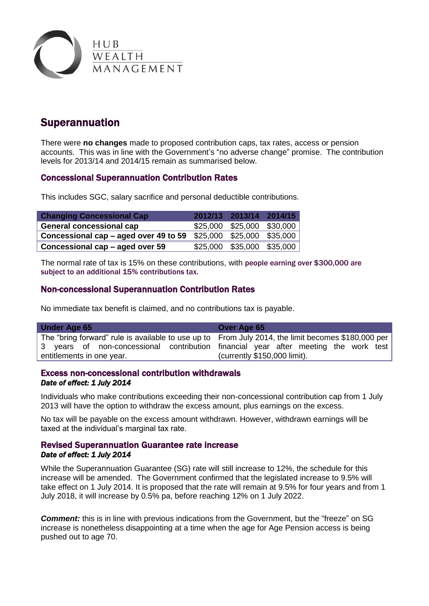

# Superannuation

There were **no changes** made to proposed contribution caps, tax rates, access or pension accounts. This was in line with the Government's "no adverse change" promise. The contribution levels for 2013/14 and 2014/15 remain as summarised below.

## Concessional Superannuation Contribution Rates

This includes SGC, salary sacrifice and personal deductible contributions.

| <b>Changing Concessional Cap</b>      |          | 2012/13 2013/14 2014/15 |          |
|---------------------------------------|----------|-------------------------|----------|
| <b>General concessional cap</b>       | \$25,000 | \$25,000 \$30,000       |          |
| Concessional cap – aged over 49 to 59 | \$25,000 | \$25,000                | \$35,000 |
| Concessional cap - aged over 59       | \$25,000 | \$35,000                | \$35,000 |

The normal rate of tax is 15% on these contributions, with people earning over \$300,000 are subject to an additional 15% contributions tax.

## Non-concessional Superannuation Contribution Rates

No immediate tax benefit is claimed, and no contributions tax is payable.

| Under Age 65                                                                                       | Over Age 65                   |
|----------------------------------------------------------------------------------------------------|-------------------------------|
| The "bring forward" rule is available to use up to From July 2014, the limit becomes \$180,000 per |                               |
| 3 years of non-concessional contribution financial year after meeting the work test                |                               |
| entitlements in one year.                                                                          | (currently $$150,000$ limit). |

## Excess non-concessional contribution withdrawals *Date of effect: 1 July 2014*

Individuals who make contributions exceeding their non-concessional contribution cap from 1 July 2013 will have the option to withdraw the excess amount, plus earnings on the excess.

No tax will be payable on the excess amount withdrawn. However, withdrawn earnings will be taxed at the individual's marginal tax rate.

## Revised Superannuation Guarantee rate increase *Date of effect: 1 July 2014*

While the Superannuation Guarantee (SG) rate will still increase to 12%, the schedule for this increase will be amended. The Government confirmed that the legislated increase to 9.5% will take effect on 1 July 2014. It is proposed that the rate will remain at 9.5% for four years and from 1 July 2018, it will increase by 0.5% pa, before reaching 12% on 1 July 2022.

*Comment:* this is in line with previous indications from the Government, but the "freeze" on SG increase is nonetheless disappointing at a time when the age for Age Pension access is being pushed out to age 70.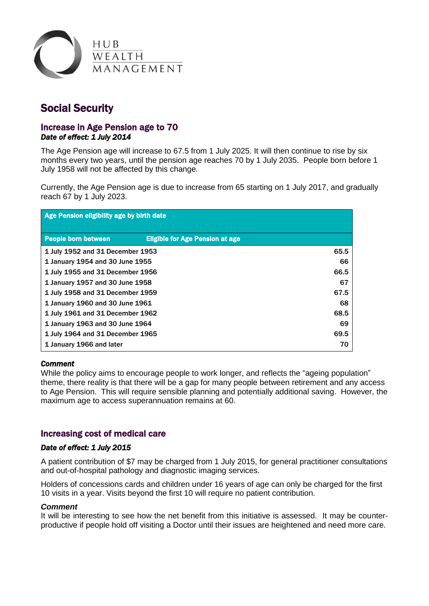

# Social Security

### Increase in Age Pension age to 70 *Date of effect: 1 July 2014*

The Age Pension age will increase to 67.5 from 1 July 2025. It will then continue to rise by six months every two years, until the pension age reaches 70 by 1 July 2035. People born before 1 July 1958 will not be affected by this change.

Currently, the Age Pension age is due to increase from 65 starting on 1 July 2017, and gradually reach 67 by 1 July 2023.

| Age Pension eligibility age by birth date |                                        |      |  |  |
|-------------------------------------------|----------------------------------------|------|--|--|
| <b>People born between</b>                | <b>Eligible for Age Pension at age</b> |      |  |  |
| 1 July 1952 and 31 December 1953          |                                        | 65.5 |  |  |
| 1 January 1954 and 30 June 1955           |                                        | 66   |  |  |
| 1 July 1955 and 31 December 1956          |                                        | 66.5 |  |  |
| 1 January 1957 and 30 June 1958           |                                        | 67   |  |  |
| 1 July 1958 and 31 December 1959          |                                        | 67.5 |  |  |
| 1 January 1960 and 30 June 1961           |                                        | 68   |  |  |
| 1 July 1961 and 31 December 1962          |                                        | 68.5 |  |  |
| 1 January 1963 and 30 June 1964           |                                        | 69   |  |  |
| 1 July 1964 and 31 December 1965          |                                        | 69.5 |  |  |
| 1 January 1966 and later                  | 70                                     |      |  |  |

#### *Comment*

While the policy aims to encourage people to work longer, and reflects the "ageing population" theme, there reality is that there will be a gap for many people between retirement and any access to Age Pension. This will require sensible planning and potentially additional saving. However, the maximum age to access superannuation remains at 60.

### Increasing cost of medical care

### *Date of effect: 1 July 2015*

A patient contribution of \$7 may be charged from 1 July 2015, for general practitioner consultations and out-of-hospital pathology and diagnostic imaging services.

Holders of concessions cards and children under 16 years of age can only be charged for the first 10 visits in a year. Visits beyond the first 10 will require no patient contribution.

#### *Comment*

It will be interesting to see how the net benefit from this initiative is assessed. It may be counterproductive if people hold off visiting a Doctor until their issues are heightened and need more care.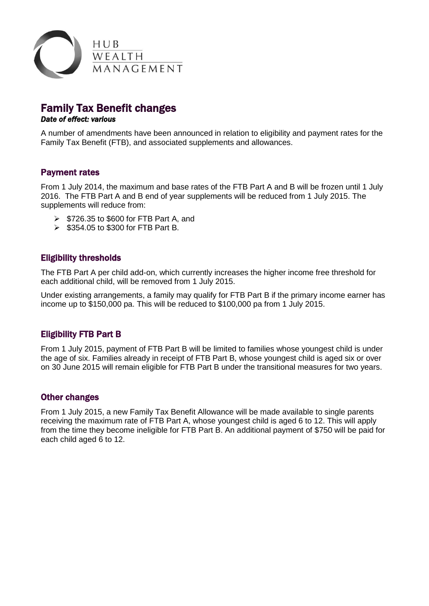

# Family Tax Benefit changes

#### *Date of effect: various*

A number of amendments have been announced in relation to eligibility and payment rates for the Family Tax Benefit (FTB), and associated supplements and allowances.

## Payment rates

From 1 July 2014, the maximum and base rates of the FTB Part A and B will be frozen until 1 July 2016. The FTB Part A and B end of year supplements will be reduced from 1 July 2015. The supplements will reduce from:

- $\triangleright$  \$726.35 to \$600 for FTB Part A, and
- $\triangleright$  \$354.05 to \$300 for FTB Part B.

## Eligibility thresholds

The FTB Part A per child add-on, which currently increases the higher income free threshold for each additional child, will be removed from 1 July 2015.

Under existing arrangements, a family may qualify for FTB Part B if the primary income earner has income up to \$150,000 pa. This will be reduced to \$100,000 pa from 1 July 2015.

## Eligibility FTB Part B

From 1 July 2015, payment of FTB Part B will be limited to families whose youngest child is under the age of six. Families already in receipt of FTB Part B, whose youngest child is aged six or over on 30 June 2015 will remain eligible for FTB Part B under the transitional measures for two years.

### Other changes

From 1 July 2015, a new Family Tax Benefit Allowance will be made available to single parents receiving the maximum rate of FTB Part A, whose youngest child is aged 6 to 12. This will apply from the time they become ineligible for FTB Part B. An additional payment of \$750 will be paid for each child aged 6 to 12.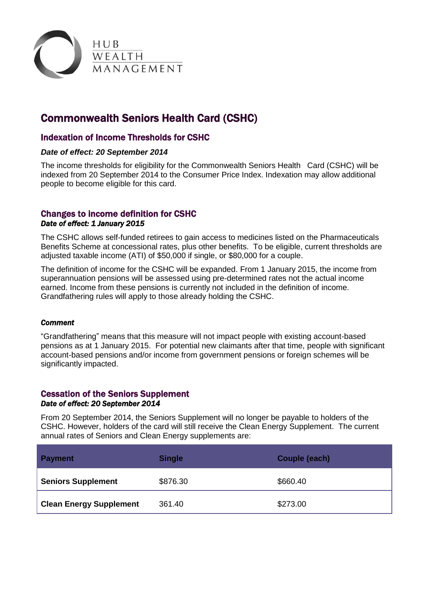

# Commonwealth Seniors Health Card (CSHC)

## Indexation of Income Thresholds for CSHC

#### *Date of effect: 20 September 2014*

The income thresholds for eligibility for the Commonwealth Seniors Health Card (CSHC) will be indexed from 20 September 2014 to the Consumer Price Index. Indexation may allow additional people to become eligible for this card.

## Changes to income definition for CSHC *Date of effect: 1 January 2015*

The CSHC allows self-funded retirees to gain access to medicines listed on the Pharmaceuticals Benefits Scheme at concessional rates, plus other benefits. To be eligible, current thresholds are adjusted taxable income (ATI) of \$50,000 if single, or \$80,000 for a couple.

The definition of income for the CSHC will be expanded. From 1 January 2015, the income from superannuation pensions will be assessed using pre-determined rates not the actual income earned. Income from these pensions is currently not included in the definition of income. Grandfathering rules will apply to those already holding the CSHC.

### *Comment*

"Grandfathering" means that this measure will not impact people with existing account-based pensions as at 1 January 2015. For potential new claimants after that time, people with significant account-based pensions and/or income from government pensions or foreign schemes will be significantly impacted.

### Cessation of the Seniors Supplement *Date of effect: 20 September 2014*

From 20 September 2014, the Seniors Supplement will no longer be payable to holders of the CSHC. However, holders of the card will still receive the Clean Energy Supplement. The current annual rates of Seniors and Clean Energy supplements are:

| <b>Payment</b>                 | <b>Single</b> | Couple (each) |
|--------------------------------|---------------|---------------|
| <b>Seniors Supplement</b>      | \$876.30      | \$660.40      |
| <b>Clean Energy Supplement</b> | 361.40        | \$273.00      |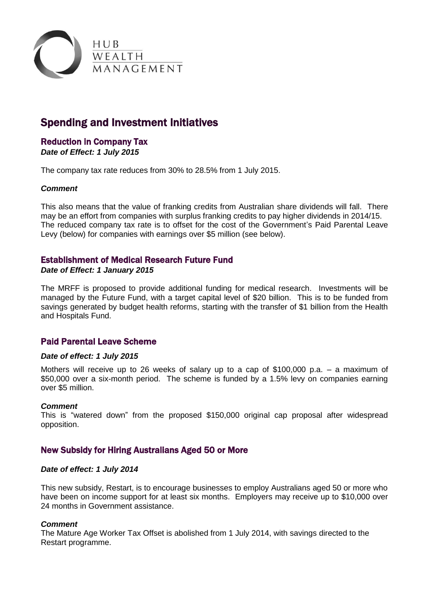

# Spending and Investment Initiatives

# Reduction in Company Tax

*Date of Effect: 1 July 2015*

The company tax rate reduces from 30% to 28.5% from 1 July 2015.

### *Comment*

This also means that the value of franking credits from Australian share dividends will fall. There may be an effort from companies with surplus franking credits to pay higher dividends in 2014/15. The reduced company tax rate is to offset for the cost of the Government's Paid Parental Leave Levy (below) for companies with earnings over \$5 million (see below).

## Establishment of Medical Research Future Fund

#### *Date of Effect: 1 January 2015*

The MRFF is proposed to provide additional funding for medical research. Investments will be managed by the Future Fund, with a target capital level of \$20 billion. This is to be funded from savings generated by budget health reforms, starting with the transfer of \$1 billion from the Health and Hospitals Fund.

## Paid Parental Leave Scheme

#### *Date of effect: 1 July 2015*

Mothers will receive up to 26 weeks of salary up to a cap of \$100,000 p.a. – a maximum of \$50,000 over a six-month period. The scheme is funded by a 1.5% levy on companies earning over \$5 million.

#### *Comment*

This is "watered down" from the proposed \$150,000 original cap proposal after widespread opposition.

## New Subsidy for Hiring Australians Aged 50 or More

#### *Date of effect: 1 July 2014*

This new subsidy, Restart, is to encourage businesses to employ Australians aged 50 or more who have been on income support for at least six months. Employers may receive up to \$10,000 over 24 months in Government assistance.

#### *Comment*

The Mature Age Worker Tax Offset is abolished from 1 July 2014, with savings directed to the Restart programme.